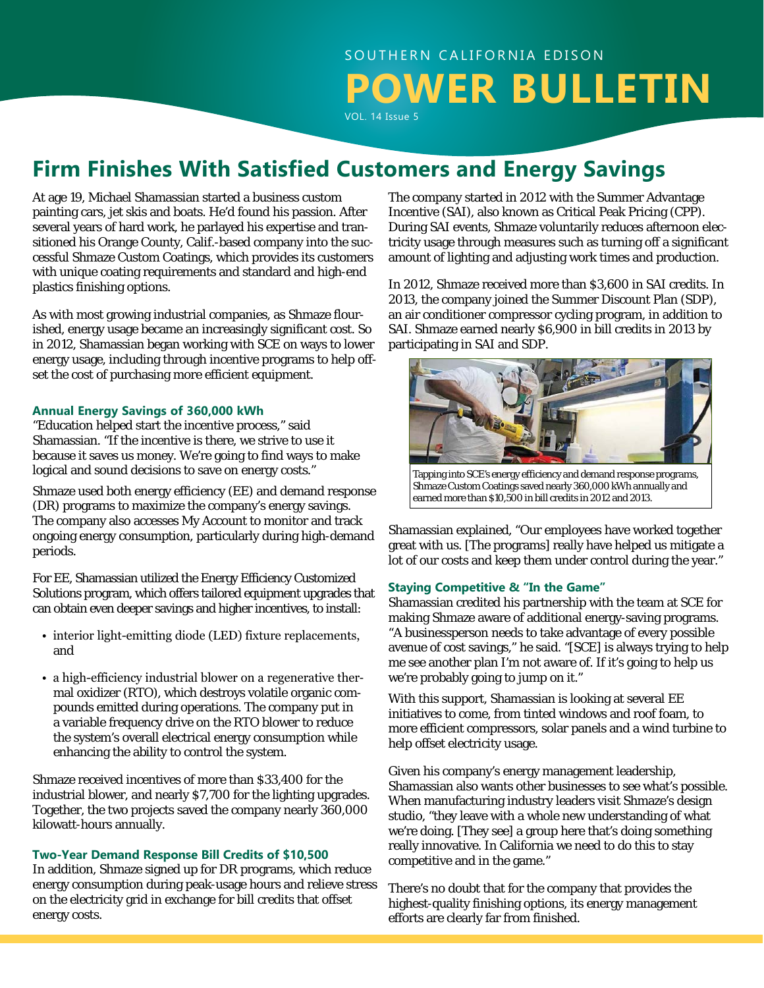# SOUTHERN CALIFORNIA EDISON **POWER BULLETIN**

VOL. 14 Issue 5

# **Firm Finishes With Satisfied Customers and Energy Savings**

At age 19, Michael Shamassian started a business custom painting cars, jet skis and boats. He'd found his passion. After several years of hard work, he parlayed his expertise and transitioned his Orange County, Calif.-based company into the successful Shmaze Custom Coatings, which provides its customers with unique coating requirements and standard and high-end plastics finishing options.

As with most growing industrial companies, as Shmaze flourished, energy usage became an increasingly significant cost. So in 2012, Shamassian began working with SCE on ways to lower energy usage, including through incentive programs to help offset the cost of purchasing more efficient equipment.

### **Annual Energy Savings of 360,000 kWh**

"Education helped start the incentive process," said Shamassian. "If the incentive is there, we strive to use it because it saves us money. We're going to find ways to make logical and sound decisions to save on energy costs."

Shmaze used both energy efficiency (EE) and demand response (DR) programs to maximize the company's energy savings. The company also accesses My Account to monitor and track ongoing energy consumption, particularly during high-demand periods.

For EE, Shamassian utilized the Energy Efficiency Customized Solutions program, which offers tailored equipment upgrades that can obtain even deeper savings and higher incentives, to install:

- interior light-emitting diode (LED) fixture replacements, and
- a high-efficiency industrial blower on a regenerative thermal oxidizer (RTO), which destroys volatile organic compounds emitted during operations. The company put in a variable frequency drive on the RTO blower to reduce the system's overall electrical energy consumption while enhancing the ability to control the system.

Shmaze received incentives of more than \$33,400 for the industrial blower, and nearly \$7,700 for the lighting upgrades. Together, the two projects saved the company nearly 360,000 kilowatt-hours annually.

### **Two-Year Demand Response Bill Credits of \$10,500**

In addition, Shmaze signed up for DR programs, which reduce energy consumption during peak-usage hours and relieve stress on the electricity grid in exchange for bill credits that offset energy costs.

The company started in 2012 with the Summer Advantage Incentive (SAI), also known as Critical Peak Pricing (CPP). During SAI events, Shmaze voluntarily reduces afternoon electricity usage through measures such as turning off a significant amount of lighting and adjusting work times and production.

In 2012, Shmaze received more than \$3,600 in SAI credits. In 2013, the company joined the Summer Discount Plan (SDP), an air conditioner compressor cycling program, in addition to SAI. Shmaze earned nearly \$6,900 in bill credits in 2013 by participating in SAI and SDP.



Tapping into SCE's energy efficiency and demand response programs, Shmaze Custom Coatings saved nearly 360,000 kWh annually and earned more than \$10,500 in bill credits in 2012 and 2013.

Shamassian explained, "Our employees have worked together great with us. [The programs] really have helped us mitigate a lot of our costs and keep them under control during the year."

### **Staying Competitive & "In the Game"**

Shamassian credited his partnership with the team at SCE for making Shmaze aware of additional energy-saving programs. "A businessperson needs to take advantage of every possible avenue of cost savings," he said. "[SCE] is always trying to help me see another plan I'm not aware of. If it's going to help us we're probably going to jump on it."

With this support, Shamassian is looking at several EE initiatives to come, from tinted windows and roof foam, to more efficient compressors, solar panels and a wind turbine to help offset electricity usage.

Given his company's energy management leadership, Shamassian also wants other businesses to see what's possible. When manufacturing industry leaders visit Shmaze's design studio, "they leave with a whole new understanding of what we're doing. [They see] a group here that's doing something really innovative. In California we need to do this to stay competitive and in the game."

There's no doubt that for the company that provides the highest-quality finishing options, its energy management efforts are clearly far from finished.